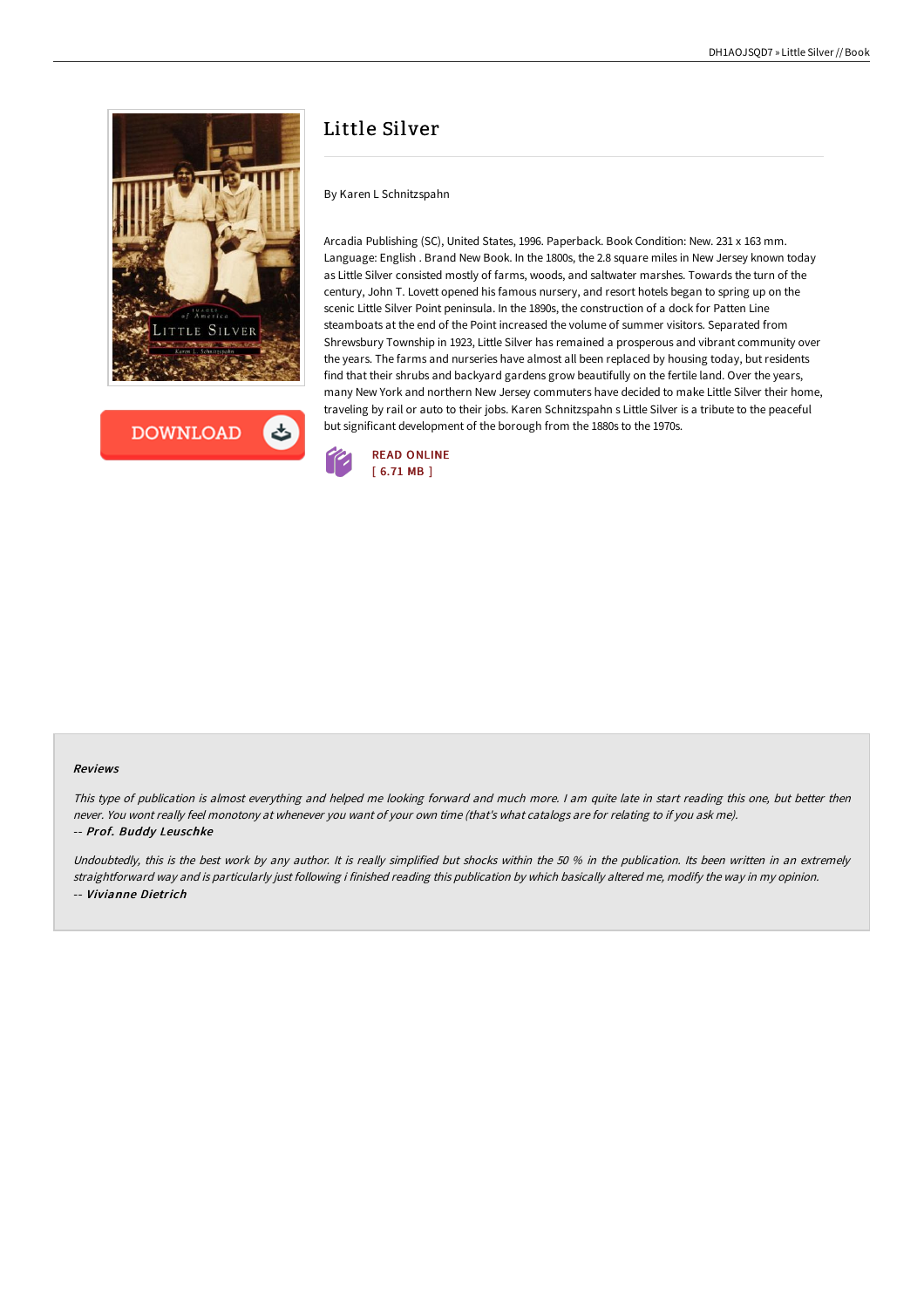



# Little Silver

### By Karen L Schnitzspahn

Arcadia Publishing (SC), United States, 1996. Paperback. Book Condition: New. 231 x 163 mm. Language: English . Brand New Book. In the 1800s, the 2.8 square miles in New Jersey known today as Little Silver consisted mostly of farms, woods, and saltwater marshes. Towards the turn of the century, John T. Lovett opened his famous nursery, and resort hotels began to spring up on the scenic Little Silver Point peninsula. In the 1890s, the construction of a dock for Patten Line steamboats at the end of the Point increased the volume of summer visitors. Separated from Shrewsbury Township in 1923, Little Silver has remained a prosperous and vibrant community over the years. The farms and nurseries have almost all been replaced by housing today, but residents find that their shrubs and backyard gardens grow beautifully on the fertile land. Over the years, many New York and northern New Jersey commuters have decided to make Little Silver their home, traveling by rail or auto to their jobs. Karen Schnitzspahn s Little Silver is a tribute to the peaceful but significant development of the borough from the 1880s to the 1970s.



#### Reviews

This type of publication is almost everything and helped me looking forward and much more. <sup>I</sup> am quite late in start reading this one, but better then never. You wont really feel monotony at whenever you want of your own time (that's what catalogs are for relating to if you ask me). -- Prof. Buddy Leuschke

Undoubtedly, this is the best work by any author. It is really simplified but shocks within the 50 % in the publication. Its been written in an extremely straightforward way and is particularly just following i finished reading this publication by which basically altered me, modify the way in my opinion. -- Vivianne Dietrich